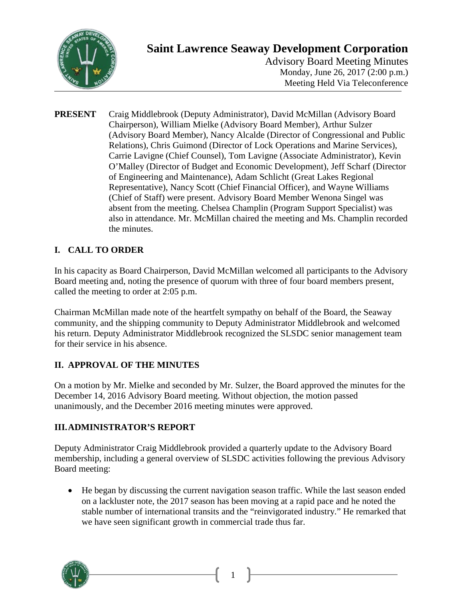

# **Saint Lawrence Seaway Development Corporation**

Advisory Board Meeting Minutes Monday, June 26, 2017 (2:00 p.m.) Meeting Held Via Teleconference

**PRESENT** Craig Middlebrook (Deputy Administrator), David McMillan (Advisory Board Chairperson), William Mielke (Advisory Board Member), Arthur Sulzer (Advisory Board Member), Nancy Alcalde (Director of Congressional and Public Relations), Chris Guimond (Director of Lock Operations and Marine Services), Carrie Lavigne (Chief Counsel), Tom Lavigne (Associate Administrator), Kevin O'Malley (Director of Budget and Economic Development), Jeff Scharf (Director of Engineering and Maintenance), Adam Schlicht (Great Lakes Regional Representative), Nancy Scott (Chief Financial Officer), and Wayne Williams (Chief of Staff) were present. Advisory Board Member Wenona Singel was absent from the meeting. Chelsea Champlin (Program Support Specialist) was also in attendance. Mr. McMillan chaired the meeting and Ms. Champlin recorded the minutes.

## **I. CALL TO ORDER**

In his capacity as Board Chairperson, David McMillan welcomed all participants to the Advisory Board meeting and, noting the presence of quorum with three of four board members present, called the meeting to order at 2:05 p.m.

Chairman McMillan made note of the heartfelt sympathy on behalf of the Board, the Seaway community, and the shipping community to Deputy Administrator Middlebrook and welcomed his return. Deputy Administrator Middlebrook recognized the SLSDC senior management team for their service in his absence.

#### **II. APPROVAL OF THE MINUTES**

On a motion by Mr. Mielke and seconded by Mr. Sulzer, the Board approved the minutes for the December 14, 2016 Advisory Board meeting. Without objection, the motion passed unanimously, and the December 2016 meeting minutes were approved.

#### **III.ADMINISTRATOR'S REPORT**

Deputy Administrator Craig Middlebrook provided a quarterly update to the Advisory Board membership, including a general overview of SLSDC activities following the previous Advisory Board meeting:

• He began by discussing the current navigation season traffic. While the last season ended on a lackluster note, the 2017 season has been moving at a rapid pace and he noted the stable number of international transits and the "reinvigorated industry." He remarked that we have seen significant growth in commercial trade thus far.

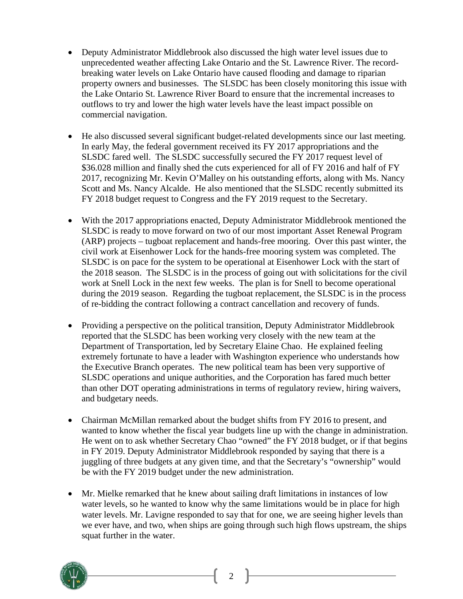- Deputy Administrator Middlebrook also discussed the high water level issues due to unprecedented weather affecting Lake Ontario and the St. Lawrence River. The recordbreaking water levels on Lake Ontario have caused flooding and damage to riparian property owners and businesses. The SLSDC has been closely monitoring this issue with the Lake Ontario St. Lawrence River Board to ensure that the incremental increases to outflows to try and lower the high water levels have the least impact possible on commercial navigation.
- He also discussed several significant budget-related developments since our last meeting. In early May, the federal government received its FY 2017 appropriations and the SLSDC fared well. The SLSDC successfully secured the FY 2017 request level of \$36.028 million and finally shed the cuts experienced for all of FY 2016 and half of FY 2017, recognizing Mr. Kevin O'Malley on his outstanding efforts, along with Ms. Nancy Scott and Ms. Nancy Alcalde. He also mentioned that the SLSDC recently submitted its FY 2018 budget request to Congress and the FY 2019 request to the Secretary.
- With the 2017 appropriations enacted, Deputy Administrator Middlebrook mentioned the SLSDC is ready to move forward on two of our most important Asset Renewal Program (ARP) projects – tugboat replacement and hands-free mooring. Over this past winter, the civil work at Eisenhower Lock for the hands-free mooring system was completed. The SLSDC is on pace for the system to be operational at Eisenhower Lock with the start of the 2018 season. The SLSDC is in the process of going out with solicitations for the civil work at Snell Lock in the next few weeks. The plan is for Snell to become operational during the 2019 season. Regarding the tugboat replacement, the SLSDC is in the process of re-bidding the contract following a contract cancellation and recovery of funds.
- Providing a perspective on the political transition, Deputy Administrator Middlebrook reported that the SLSDC has been working very closely with the new team at the Department of Transportation, led by Secretary Elaine Chao. He explained feeling extremely fortunate to have a leader with Washington experience who understands how the Executive Branch operates. The new political team has been very supportive of SLSDC operations and unique authorities, and the Corporation has fared much better than other DOT operating administrations in terms of regulatory review, hiring waivers, and budgetary needs.
- Chairman McMillan remarked about the budget shifts from FY 2016 to present, and wanted to know whether the fiscal year budgets line up with the change in administration. He went on to ask whether Secretary Chao "owned" the FY 2018 budget, or if that begins in FY 2019. Deputy Administrator Middlebrook responded by saying that there is a juggling of three budgets at any given time, and that the Secretary's "ownership" would be with the FY 2019 budget under the new administration.
- Mr. Mielke remarked that he knew about sailing draft limitations in instances of low water levels, so he wanted to know why the same limitations would be in place for high water levels. Mr. Lavigne responded to say that for one, we are seeing higher levels than we ever have, and two, when ships are going through such high flows upstream, the ships squat further in the water.

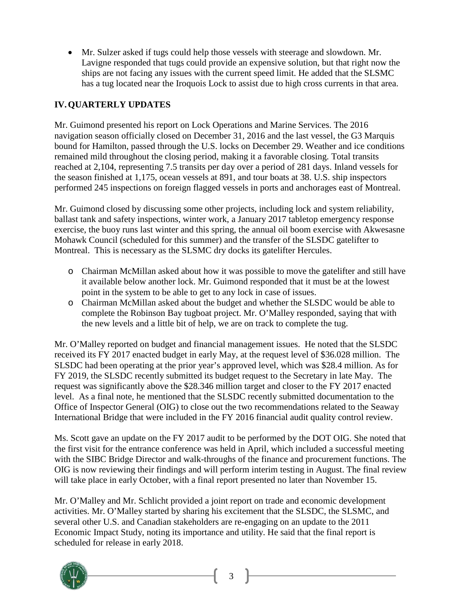• Mr. Sulzer asked if tugs could help those vessels with steerage and slowdown. Mr. Lavigne responded that tugs could provide an expensive solution, but that right now the ships are not facing any issues with the current speed limit. He added that the SLSMC has a tug located near the Iroquois Lock to assist due to high cross currents in that area.

### **IV.QUARTERLY UPDATES**

Mr. Guimond presented his report on Lock Operations and Marine Services. The 2016 navigation season officially closed on December 31, 2016 and the last vessel, the G3 Marquis bound for Hamilton, passed through the U.S. locks on December 29. Weather and ice conditions remained mild throughout the closing period, making it a favorable closing. Total transits reached at 2,104, representing 7.5 transits per day over a period of 281 days. Inland vessels for the season finished at 1,175, ocean vessels at 891, and tour boats at 38. U.S. ship inspectors performed 245 inspections on foreign flagged vessels in ports and anchorages east of Montreal.

Mr. Guimond closed by discussing some other projects, including lock and system reliability, ballast tank and safety inspections, winter work, a January 2017 tabletop emergency response exercise, the buoy runs last winter and this spring, the annual oil boom exercise with Akwesasne Mohawk Council (scheduled for this summer) and the transfer of the SLSDC gatelifter to Montreal. This is necessary as the SLSMC dry docks its gatelifter Hercules.

- o Chairman McMillan asked about how it was possible to move the gatelifter and still have it available below another lock. Mr. Guimond responded that it must be at the lowest point in the system to be able to get to any lock in case of issues.
- o Chairman McMillan asked about the budget and whether the SLSDC would be able to complete the Robinson Bay tugboat project. Mr. O'Malley responded, saying that with the new levels and a little bit of help, we are on track to complete the tug.

Mr. O'Malley reported on budget and financial management issues. He noted that the SLSDC received its FY 2017 enacted budget in early May, at the request level of \$36.028 million. The SLSDC had been operating at the prior year's approved level, which was \$28.4 million. As for FY 2019, the SLSDC recently submitted its budget request to the Secretary in late May. The request was significantly above the \$28.346 million target and closer to the FY 2017 enacted level. As a final note, he mentioned that the SLSDC recently submitted documentation to the Office of Inspector General (OIG) to close out the two recommendations related to the Seaway International Bridge that were included in the FY 2016 financial audit quality control review.

Ms. Scott gave an update on the FY 2017 audit to be performed by the DOT OIG. She noted that the first visit for the entrance conference was held in April, which included a successful meeting with the SIBC Bridge Director and walk-throughs of the finance and procurement functions. The OIG is now reviewing their findings and will perform interim testing in August. The final review will take place in early October, with a final report presented no later than November 15.

Mr. O'Malley and Mr. Schlicht provided a joint report on trade and economic development activities. Mr. O'Malley started by sharing his excitement that the SLSDC, the SLSMC, and several other U.S. and Canadian stakeholders are re-engaging on an update to the 2011 Economic Impact Study, noting its importance and utility. He said that the final report is scheduled for release in early 2018.

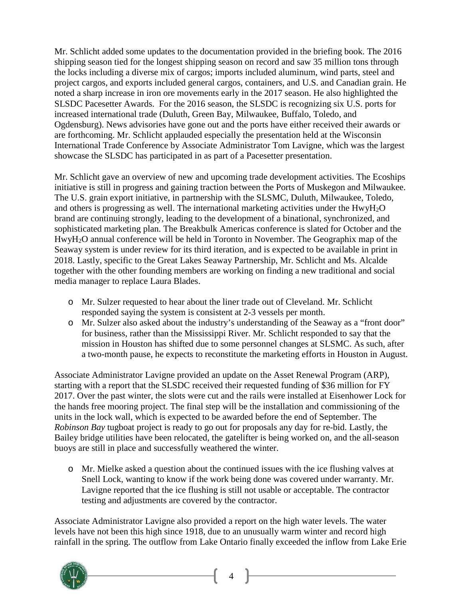Mr. Schlicht added some updates to the documentation provided in the briefing book. The 2016 shipping season tied for the longest shipping season on record and saw 35 million tons through the locks including a diverse mix of cargos; imports included aluminum, wind parts, steel and project cargos, and exports included general cargos, containers, and U.S. and Canadian grain. He noted a sharp increase in iron ore movements early in the 2017 season. He also highlighted the SLSDC Pacesetter Awards. For the 2016 season, the SLSDC is recognizing six U.S. ports for increased international trade (Duluth, Green Bay, Milwaukee, Buffalo, Toledo, and Ogdensburg). News advisories have gone out and the ports have either received their awards or are forthcoming. Mr. Schlicht applauded especially the presentation held at the Wisconsin International Trade Conference by Associate Administrator Tom Lavigne, which was the largest showcase the SLSDC has participated in as part of a Pacesetter presentation.

Mr. Schlicht gave an overview of new and upcoming trade development activities. The Ecoships initiative is still in progress and gaining traction between the Ports of Muskegon and Milwaukee. The U.S. grain export initiative, in partnership with the SLSMC, Duluth, Milwaukee, Toledo, and others is progressing as well. The international marketing activities under the HwyH2O brand are continuing strongly, leading to the development of a binational, synchronized, and sophisticated marketing plan. The Breakbulk Americas conference is slated for October and the HwyH2O annual conference will be held in Toronto in November. The Geographix map of the Seaway system is under review for its third iteration, and is expected to be available in print in 2018. Lastly, specific to the Great Lakes Seaway Partnership, Mr. Schlicht and Ms. Alcalde together with the other founding members are working on finding a new traditional and social media manager to replace Laura Blades.

- o Mr. Sulzer requested to hear about the liner trade out of Cleveland. Mr. Schlicht responded saying the system is consistent at 2-3 vessels per month.
- o Mr. Sulzer also asked about the industry's understanding of the Seaway as a "front door" for business, rather than the Mississippi River. Mr. Schlicht responded to say that the mission in Houston has shifted due to some personnel changes at SLSMC. As such, after a two-month pause, he expects to reconstitute the marketing efforts in Houston in August.

Associate Administrator Lavigne provided an update on the Asset Renewal Program (ARP), starting with a report that the SLSDC received their requested funding of \$36 million for FY 2017. Over the past winter, the slots were cut and the rails were installed at Eisenhower Lock for the hands free mooring project. The final step will be the installation and commissioning of the units in the lock wall, which is expected to be awarded before the end of September. The *Robinson Bay* tugboat project is ready to go out for proposals any day for re-bid. Lastly, the Bailey bridge utilities have been relocated, the gatelifter is being worked on, and the all-season buoys are still in place and successfully weathered the winter.

o Mr. Mielke asked a question about the continued issues with the ice flushing valves at Snell Lock, wanting to know if the work being done was covered under warranty. Mr. Lavigne reported that the ice flushing is still not usable or acceptable. The contractor testing and adjustments are covered by the contractor.

Associate Administrator Lavigne also provided a report on the high water levels. The water levels have not been this high since 1918, due to an unusually warm winter and record high rainfall in the spring. The outflow from Lake Ontario finally exceeded the inflow from Lake Erie

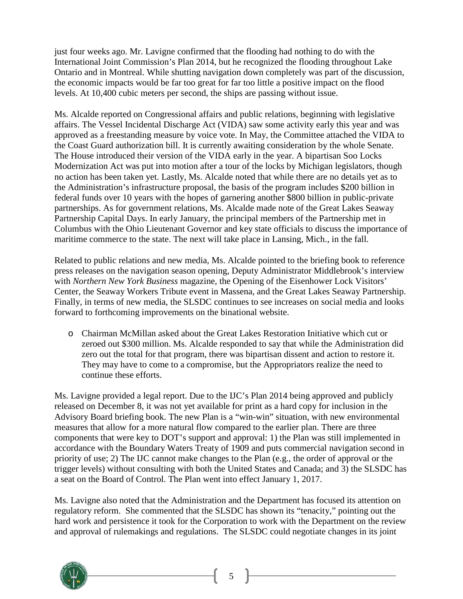just four weeks ago. Mr. Lavigne confirmed that the flooding had nothing to do with the International Joint Commission's Plan 2014, but he recognized the flooding throughout Lake Ontario and in Montreal. While shutting navigation down completely was part of the discussion, the economic impacts would be far too great for far too little a positive impact on the flood levels. At 10,400 cubic meters per second, the ships are passing without issue.

Ms. Alcalde reported on Congressional affairs and public relations, beginning with legislative affairs. The Vessel Incidental Discharge Act (VIDA) saw some activity early this year and was approved as a freestanding measure by voice vote. In May, the Committee attached the VIDA to the Coast Guard authorization bill. It is currently awaiting consideration by the whole Senate. The House introduced their version of the VIDA early in the year. A bipartisan Soo Locks Modernization Act was put into motion after a tour of the locks by Michigan legislators, though no action has been taken yet. Lastly, Ms. Alcalde noted that while there are no details yet as to the Administration's infrastructure proposal, the basis of the program includes \$200 billion in federal funds over 10 years with the hopes of garnering another \$800 billion in public-private partnerships. As for government relations, Ms. Alcalde made note of the Great Lakes Seaway Partnership Capital Days. In early January, the principal members of the Partnership met in Columbus with the Ohio Lieutenant Governor and key state officials to discuss the importance of maritime commerce to the state. The next will take place in Lansing, Mich., in the fall.

Related to public relations and new media, Ms. Alcalde pointed to the briefing book to reference press releases on the navigation season opening, Deputy Administrator Middlebrook's interview with *Northern New York Business* magazine, the Opening of the Eisenhower Lock Visitors' Center, the Seaway Workers Tribute event in Massena, and the Great Lakes Seaway Partnership. Finally, in terms of new media, the SLSDC continues to see increases on social media and looks forward to forthcoming improvements on the binational website.

o Chairman McMillan asked about the Great Lakes Restoration Initiative which cut or zeroed out \$300 million. Ms. Alcalde responded to say that while the Administration did zero out the total for that program, there was bipartisan dissent and action to restore it. They may have to come to a compromise, but the Appropriators realize the need to continue these efforts.

Ms. Lavigne provided a legal report. Due to the IJC's Plan 2014 being approved and publicly released on December 8, it was not yet available for print as a hard copy for inclusion in the Advisory Board briefing book. The new Plan is a "win-win" situation, with new environmental measures that allow for a more natural flow compared to the earlier plan. There are three components that were key to DOT's support and approval: 1) the Plan was still implemented in accordance with the Boundary Waters Treaty of 1909 and puts commercial navigation second in priority of use; 2) The IJC cannot make changes to the Plan (e.g., the order of approval or the trigger levels) without consulting with both the United States and Canada; and 3) the SLSDC has a seat on the Board of Control. The Plan went into effect January 1, 2017.

Ms. Lavigne also noted that the Administration and the Department has focused its attention on regulatory reform. She commented that the SLSDC has shown its "tenacity," pointing out the hard work and persistence it took for the Corporation to work with the Department on the review and approval of rulemakings and regulations. The SLSDC could negotiate changes in its joint